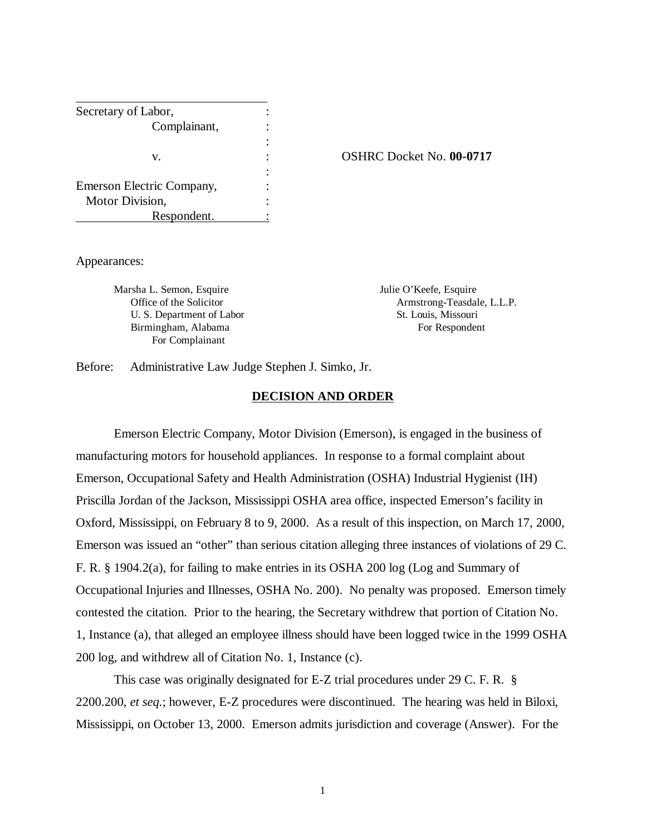| Secretary of Labor,       |       |
|---------------------------|-------|
| Complainant,              |       |
|                           |       |
| v.                        | OSHRC |
|                           |       |
| Emerson Electric Company, |       |
| Motor Division,           |       |
| Respondent.               |       |

v. : OSHRC Docket No. **00-0717**

Appearances:

Marsha L. Semon, Esquire Viennesse and Mullie O'Keefe, Esquire U. S. Department of Labor St. Louis, Missouri Birmingham, Alabama For Respondent For Complainant

Office of the Solicitor **Armstrong-Teasdale, L.L.P.** 

Before: Administrative Law Judge Stephen J. Simko, Jr.

## **DECISION AND ORDER**

Emerson Electric Company, Motor Division (Emerson), is engaged in the business of manufacturing motors for household appliances. In response to a formal complaint about Emerson, Occupational Safety and Health Administration (OSHA) Industrial Hygienist (IH) Priscilla Jordan of the Jackson, Mississippi OSHA area office, inspected Emerson's facility in Oxford, Mississippi, on February 8 to 9, 2000. As a result of this inspection, on March 17, 2000, Emerson was issued an "other" than serious citation alleging three instances of violations of 29 C. F. R. § 1904.2(a), for failing to make entries in its OSHA 200 log (Log and Summary of Occupational Injuries and Illnesses, OSHA No. 200). No penalty was proposed. Emerson timely contested the citation. Prior to the hearing, the Secretary withdrew that portion of Citation No. 1, Instance (a), that alleged an employee illness should have been logged twice in the 1999 OSHA 200 log, and withdrew all of Citation No. 1, Instance (c).

This case was originally designated for E-Z trial procedures under 29 C. F. R. § 2200.200, *et seq.*; however, E-Z procedures were discontinued. The hearing was held in Biloxi, Mississippi, on October 13, 2000. Emerson admits jurisdiction and coverage (Answer). For the

1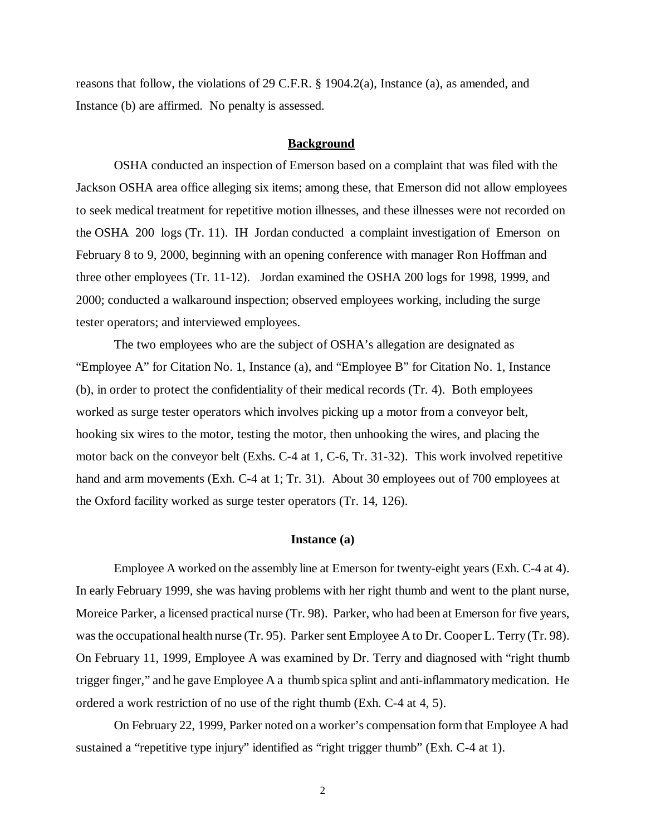reasons that follow, the violations of 29 C.F.R. § 1904.2(a), Instance (a), as amended, and Instance (b) are affirmed. No penalty is assessed.

### **Background**

OSHA conducted an inspection of Emerson based on a complaint that was filed with the Jackson OSHA area office alleging six items; among these, that Emerson did not allow employees to seek medical treatment for repetitive motion illnesses, and these illnesses were not recorded on the OSHA 200 logs (Tr. 11). IH Jordan conducted a complaint investigation of Emerson on February 8 to 9, 2000, beginning with an opening conference with manager Ron Hoffman and three other employees (Tr. 11-12). Jordan examined the OSHA 200 logs for 1998, 1999, and 2000; conducted a walkaround inspection; observed employees working, including the surge tester operators; and interviewed employees.

The two employees who are the subject of OSHA's allegation are designated as "Employee A" for Citation No. 1, Instance (a), and "Employee B" for Citation No. 1, Instance (b), in order to protect the confidentiality of their medical records (Tr. 4). Both employees worked as surge tester operators which involves picking up a motor from a conveyor belt, hooking six wires to the motor, testing the motor, then unhooking the wires, and placing the motor back on the conveyor belt (Exhs. C-4 at 1, C-6, Tr. 31-32). This work involved repetitive hand and arm movements (Exh. C-4 at 1; Tr. 31). About 30 employees out of 700 employees at the Oxford facility worked as surge tester operators (Tr. 14, 126).

#### **Instance (a)**

Employee A worked on the assembly line at Emerson for twenty-eight years (Exh. C-4 at 4). In early February 1999, she was having problems with her right thumb and went to the plant nurse, Moreice Parker, a licensed practical nurse (Tr. 98). Parker, who had been at Emerson for five years, was the occupational health nurse (Tr. 95). Parker sent Employee A to Dr. Cooper L. Terry (Tr. 98). On February 11, 1999, Employee A was examined by Dr. Terry and diagnosed with "right thumb trigger finger," and he gave Employee A a thumb spica splint and anti-inflammatory medication. He ordered a work restriction of no use of the right thumb (Exh. C-4 at 4, 5).

On February 22, 1999, Parker noted on a worker's compensation form that Employee A had sustained a "repetitive type injury" identified as "right trigger thumb" (Exh. C-4 at 1).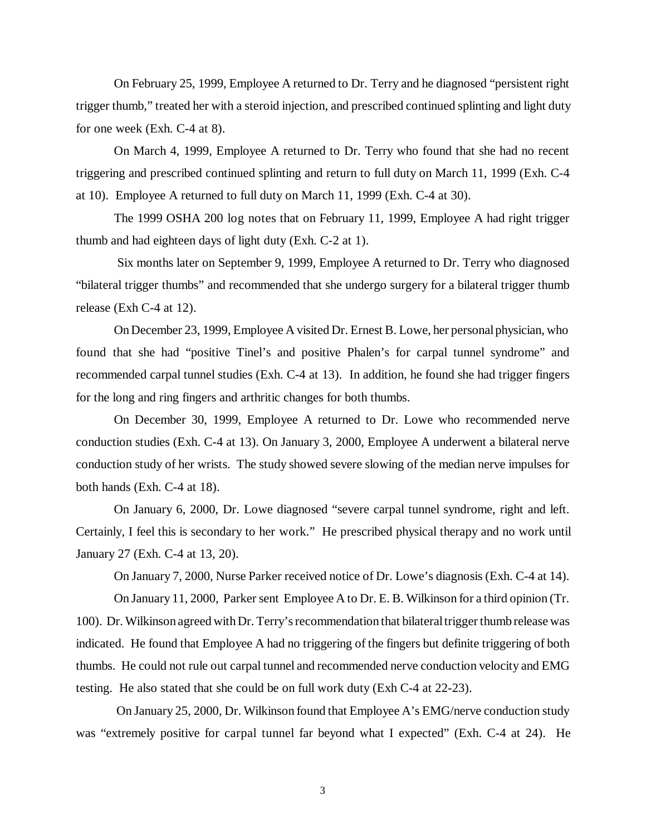On February 25, 1999, Employee A returned to Dr. Terry and he diagnosed "persistent right trigger thumb," treated her with a steroid injection, and prescribed continued splinting and light duty for one week (Exh. C-4 at 8).

On March 4, 1999, Employee A returned to Dr. Terry who found that she had no recent triggering and prescribed continued splinting and return to full duty on March 11, 1999 (Exh. C-4 at 10). Employee A returned to full duty on March 11, 1999 (Exh. C-4 at 30).

The 1999 OSHA 200 log notes that on February 11, 1999, Employee A had right trigger thumb and had eighteen days of light duty (Exh. C-2 at 1).

 Six months later on September 9, 1999, Employee A returned to Dr. Terry who diagnosed "bilateral trigger thumbs" and recommended that she undergo surgery for a bilateral trigger thumb release (Exh C-4 at 12).

On December 23, 1999, Employee A visited Dr. Ernest B. Lowe, her personal physician, who found that she had "positive Tinel's and positive Phalen's for carpal tunnel syndrome" and recommended carpal tunnel studies (Exh. C-4 at 13). In addition, he found she had trigger fingers for the long and ring fingers and arthritic changes for both thumbs.

On December 30, 1999, Employee A returned to Dr. Lowe who recommended nerve conduction studies (Exh. C-4 at 13). On January 3, 2000, Employee A underwent a bilateral nerve conduction study of her wrists. The study showed severe slowing of the median nerve impulses for both hands (Exh. C-4 at 18).

On January 6, 2000, Dr. Lowe diagnosed "severe carpal tunnel syndrome, right and left. Certainly, I feel this is secondary to her work." He prescribed physical therapy and no work until January 27 (Exh. C-4 at 13, 20).

On January 7, 2000, Nurse Parker received notice of Dr. Lowe's diagnosis (Exh. C-4 at 14).

On January 11, 2000, Parker sent Employee A to Dr. E. B. Wilkinson for a third opinion (Tr. 100). Dr. Wilkinson agreed with Dr. Terry's recommendation that bilateral trigger thumb release was indicated. He found that Employee A had no triggering of the fingers but definite triggering of both thumbs. He could not rule out carpal tunnel and recommended nerve conduction velocity and EMG testing. He also stated that she could be on full work duty (Exh C-4 at 22-23).

 On January 25, 2000, Dr. Wilkinson found that Employee A's EMG/nerve conduction study was "extremely positive for carpal tunnel far beyond what I expected" (Exh. C-4 at 24). He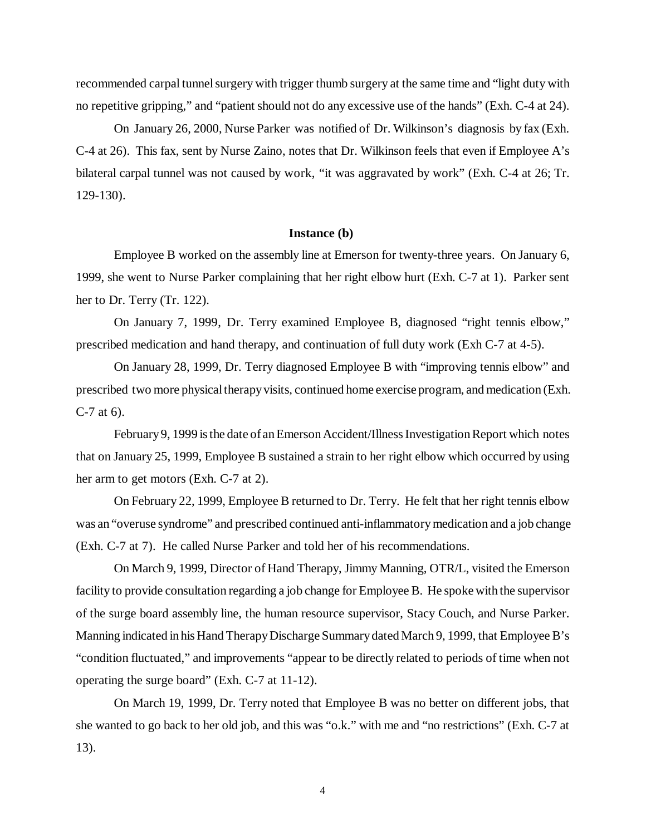recommended carpal tunnel surgery with trigger thumb surgery at the same time and "light duty with no repetitive gripping," and "patient should not do any excessive use of the hands" (Exh. C-4 at 24).

On January 26, 2000, Nurse Parker was notified of Dr. Wilkinson's diagnosis by fax (Exh. C-4 at 26). This fax, sent by Nurse Zaino, notes that Dr. Wilkinson feels that even if Employee A's bilateral carpal tunnel was not caused by work, "it was aggravated by work" (Exh. C-4 at 26; Tr. 129-130).

### **Instance (b)**

Employee B worked on the assembly line at Emerson for twenty-three years. On January 6, 1999, she went to Nurse Parker complaining that her right elbow hurt (Exh. C-7 at 1). Parker sent her to Dr. Terry (Tr. 122).

On January 7, 1999, Dr. Terry examined Employee B, diagnosed "right tennis elbow," prescribed medication and hand therapy, and continuation of full duty work (Exh C-7 at 4-5).

On January 28, 1999, Dr. Terry diagnosed Employee B with "improving tennis elbow" and prescribed two more physical therapy visits, continued home exercise program, and medication (Exh. C-7 at 6).

February 9, 1999 is the date of an Emerson Accident/Illness Investigation Report which notes that on January 25, 1999, Employee B sustained a strain to her right elbow which occurred by using her arm to get motors (Exh. C-7 at 2).

On February 22, 1999, Employee B returned to Dr. Terry. He felt that her right tennis elbow was an "overuse syndrome" and prescribed continued anti-inflammatory medication and a job change (Exh. C-7 at 7). He called Nurse Parker and told her of his recommendations.

On March 9, 1999, Director of Hand Therapy, Jimmy Manning, OTR/L, visited the Emerson facility to provide consultation regarding a job change for Employee B. He spoke with the supervisor of the surge board assembly line, the human resource supervisor, Stacy Couch, and Nurse Parker. Manning indicated in his Hand Therapy Discharge Summary dated March 9, 1999, that Employee B's "condition fluctuated," and improvements "appear to be directly related to periods of time when not operating the surge board" (Exh. C-7 at 11-12).

On March 19, 1999, Dr. Terry noted that Employee B was no better on different jobs, that she wanted to go back to her old job, and this was "o.k." with me and "no restrictions" (Exh. C-7 at 13).

4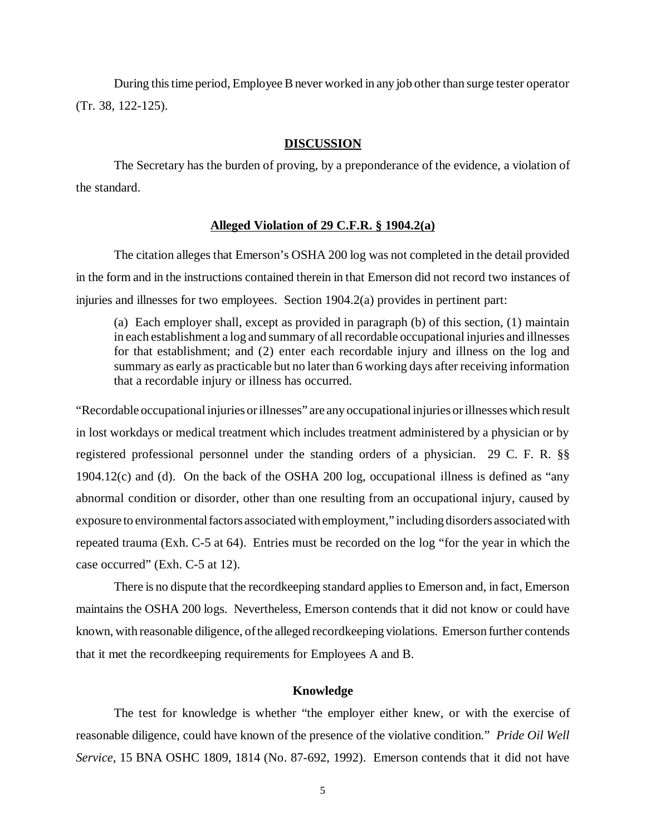During this time period, Employee B never worked in any job other than surge tester operator (Tr. 38, 122-125).

#### **DISCUSSION**

The Secretary has the burden of proving, by a preponderance of the evidence, a violation of the standard.

## **Alleged Violation of 29 C.F.R. § 1904.2(a)**

The citation alleges that Emerson's OSHA 200 log was not completed in the detail provided in the form and in the instructions contained therein in that Emerson did not record two instances of injuries and illnesses for two employees. Section 1904.2(a) provides in pertinent part:

(a) Each employer shall, except as provided in paragraph (b) of this section, (1) maintain in each establishment a log and summary of all recordable occupational injuries and illnesses for that establishment; and (2) enter each recordable injury and illness on the log and summary as early as practicable but no later than 6 working days after receiving information that a recordable injury or illness has occurred.

"Recordable occupational injuries or illnesses" are any occupational injuries or illnesses which result in lost workdays or medical treatment which includes treatment administered by a physician or by registered professional personnel under the standing orders of a physician. 29 C. F. R. §§ 1904.12(c) and (d). On the back of the OSHA 200 log, occupational illness is defined as "any abnormal condition or disorder, other than one resulting from an occupational injury, caused by exposure to environmental factors associated with employment," including disorders associated with repeated trauma (Exh. C-5 at 64). Entries must be recorded on the log "for the year in which the case occurred" (Exh. C-5 at 12).

There is no dispute that the recordkeeping standard applies to Emerson and, in fact, Emerson maintains the OSHA 200 logs. Nevertheless, Emerson contends that it did not know or could have known, with reasonable diligence, of the alleged recordkeeping violations. Emerson further contends that it met the recordkeeping requirements for Employees A and B.

#### **Knowledge**

The test for knowledge is whether "the employer either knew, or with the exercise of reasonable diligence, could have known of the presence of the violative condition." *Pride Oil Well Service,* 15 BNA OSHC 1809, 1814 (No. 87-692, 1992). Emerson contends that it did not have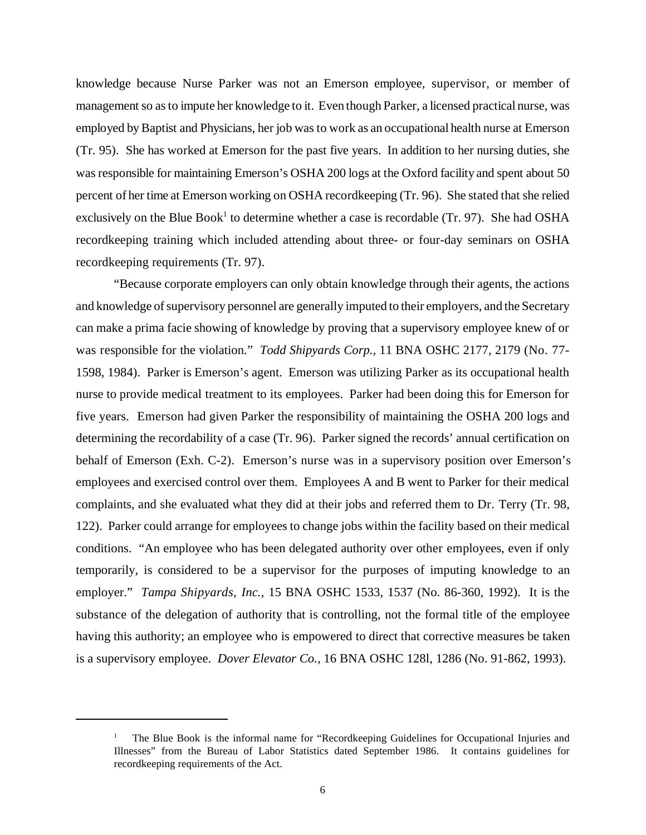knowledge because Nurse Parker was not an Emerson employee, supervisor, or member of management so as to impute her knowledge to it. Even though Parker, a licensed practical nurse, was employed by Baptist and Physicians, her job was to work as an occupational health nurse at Emerson (Tr. 95). She has worked at Emerson for the past five years. In addition to her nursing duties, she was responsible for maintaining Emerson's OSHA 200 logs at the Oxford facility and spent about 50 percent of her time at Emerson working on OSHA recordkeeping (Tr. 96). She stated that she relied exclusively on the Blue Book<sup>1</sup> to determine whether a case is recordable (Tr. 97). She had OSHA recordkeeping training which included attending about three- or four-day seminars on OSHA recordkeeping requirements (Tr. 97).

"Because corporate employers can only obtain knowledge through their agents, the actions and knowledge of supervisory personnel are generally imputed to their employers, and the Secretary can make a prima facie showing of knowledge by proving that a supervisory employee knew of or was responsible for the violation." *Todd Shipyards Corp.,* 11 BNA OSHC 2177, 2179 (No. 77- 1598, 1984). Parker is Emerson's agent. Emerson was utilizing Parker as its occupational health nurse to provide medical treatment to its employees. Parker had been doing this for Emerson for five years. Emerson had given Parker the responsibility of maintaining the OSHA 200 logs and determining the recordability of a case (Tr. 96). Parker signed the records' annual certification on behalf of Emerson (Exh. C-2). Emerson's nurse was in a supervisory position over Emerson's employees and exercised control over them. Employees A and B went to Parker for their medical complaints, and she evaluated what they did at their jobs and referred them to Dr. Terry (Tr. 98, 122). Parker could arrange for employees to change jobs within the facility based on their medical conditions. "An employee who has been delegated authority over other employees, even if only temporarily, is considered to be a supervisor for the purposes of imputing knowledge to an employer." *Tampa Shipyards, Inc.,* 15 BNA OSHC 1533, 1537 (No. 86-360, 1992). It is the substance of the delegation of authority that is controlling, not the formal title of the employee having this authority; an employee who is empowered to direct that corrective measures be taken is a supervisory employee. *Dover Elevator Co.,* 16 BNA OSHC 128l, 1286 (No. 91-862, 1993).

<sup>1</sup> The Blue Book is the informal name for "Recordkeeping Guidelines for Occupational Injuries and Illnesses" from the Bureau of Labor Statistics dated September 1986. It contains guidelines for recordkeeping requirements of the Act.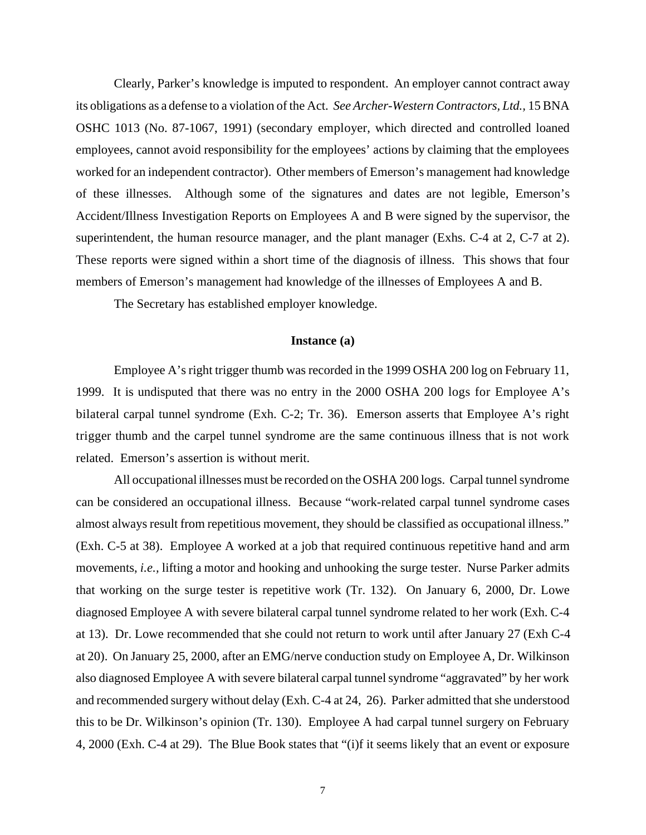Clearly, Parker's knowledge is imputed to respondent. An employer cannot contract away its obligations as a defense to a violation of the Act. *See Archer-Western Contractors, Ltd.,* 15 BNA OSHC 1013 (No. 87-1067, 1991) (secondary employer, which directed and controlled loaned employees, cannot avoid responsibility for the employees' actions by claiming that the employees worked for an independent contractor). Other members of Emerson's management had knowledge of these illnesses. Although some of the signatures and dates are not legible, Emerson's Accident/Illness Investigation Reports on Employees A and B were signed by the supervisor, the superintendent, the human resource manager, and the plant manager (Exhs. C-4 at 2, C-7 at 2). These reports were signed within a short time of the diagnosis of illness. This shows that four members of Emerson's management had knowledge of the illnesses of Employees A and B.

The Secretary has established employer knowledge.

### **Instance (a)**

Employee A's right trigger thumb was recorded in the 1999 OSHA 200 log on February 11, 1999. It is undisputed that there was no entry in the 2000 OSHA 200 logs for Employee A's bilateral carpal tunnel syndrome (Exh. C-2; Tr. 36). Emerson asserts that Employee A's right trigger thumb and the carpel tunnel syndrome are the same continuous illness that is not work related. Emerson's assertion is without merit.

All occupational illnesses must be recorded on the OSHA 200 logs. Carpal tunnel syndrome can be considered an occupational illness. Because "work-related carpal tunnel syndrome cases almost always result from repetitious movement, they should be classified as occupational illness." (Exh. C-5 at 38). Employee A worked at a job that required continuous repetitive hand and arm movements, *i.e.,* lifting a motor and hooking and unhooking the surge tester. Nurse Parker admits that working on the surge tester is repetitive work (Tr. 132). On January 6, 2000, Dr. Lowe diagnosed Employee A with severe bilateral carpal tunnel syndrome related to her work (Exh. C-4 at 13). Dr. Lowe recommended that she could not return to work until after January 27 (Exh C-4 at 20). On January 25, 2000, after an EMG/nerve conduction study on Employee A, Dr. Wilkinson also diagnosed Employee A with severe bilateral carpal tunnel syndrome "aggravated" by her work and recommended surgery without delay (Exh. C-4 at 24, 26). Parker admitted that she understood this to be Dr. Wilkinson's opinion (Tr. 130). Employee A had carpal tunnel surgery on February 4, 2000 (Exh. C-4 at 29). The Blue Book states that "(i)f it seems likely that an event or exposure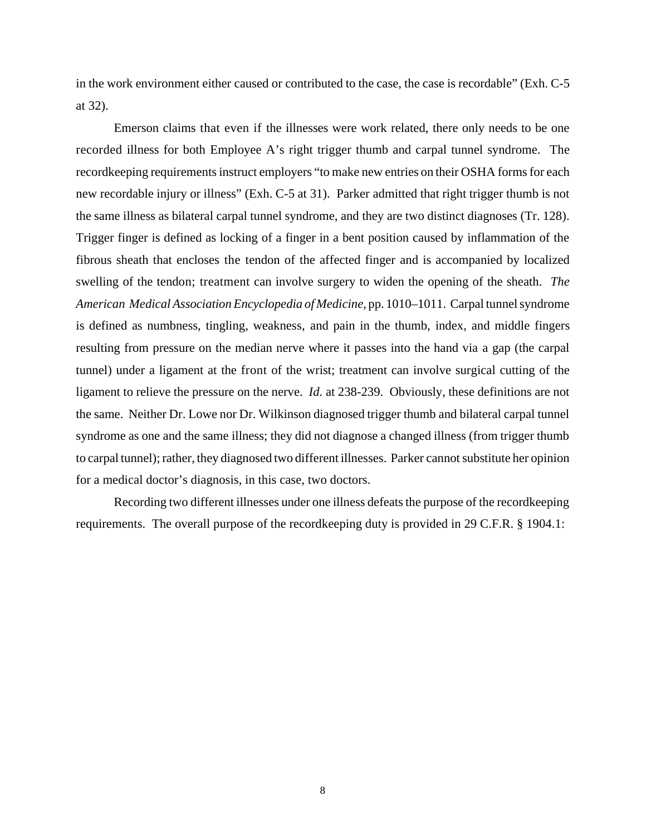in the work environment either caused or contributed to the case, the case is recordable" (Exh. C-5 at 32).

Emerson claims that even if the illnesses were work related, there only needs to be one recorded illness for both Employee A's right trigger thumb and carpal tunnel syndrome. The recordkeeping requirements instruct employers "to make new entries on their OSHA forms for each new recordable injury or illness" (Exh. C-5 at 31). Parker admitted that right trigger thumb is not the same illness as bilateral carpal tunnel syndrome, and they are two distinct diagnoses (Tr. 128). Trigger finger is defined as locking of a finger in a bent position caused by inflammation of the fibrous sheath that encloses the tendon of the affected finger and is accompanied by localized swelling of the tendon; treatment can involve surgery to widen the opening of the sheath. *The American Medical Association Encyclopedia of Medicine,* pp. 1010–1011. Carpal tunnel syndrome is defined as numbness, tingling, weakness, and pain in the thumb, index, and middle fingers resulting from pressure on the median nerve where it passes into the hand via a gap (the carpal tunnel) under a ligament at the front of the wrist; treatment can involve surgical cutting of the ligament to relieve the pressure on the nerve. *Id.* at 238-239. Obviously, these definitions are not the same. Neither Dr. Lowe nor Dr. Wilkinson diagnosed trigger thumb and bilateral carpal tunnel syndrome as one and the same illness; they did not diagnose a changed illness (from trigger thumb to carpal tunnel); rather, they diagnosed two different illnesses. Parker cannot substitute her opinion for a medical doctor's diagnosis, in this case, two doctors.

Recording two different illnesses under one illness defeats the purpose of the recordkeeping requirements. The overall purpose of the recordkeeping duty is provided in 29 C.F.R. § 1904.1: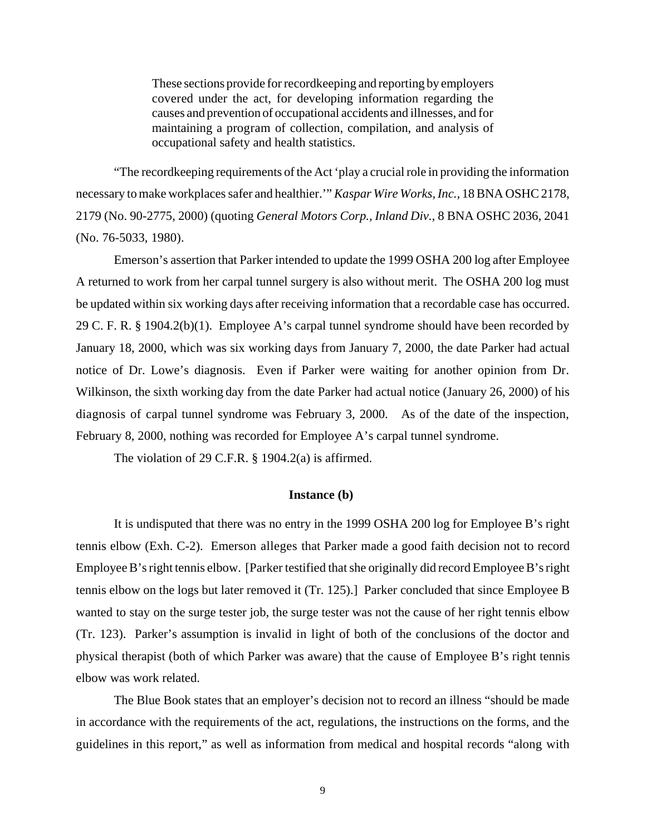These sections provide for recordkeeping and reporting by employers covered under the act, for developing information regarding the causes and prevention of occupational accidents and illnesses, and for maintaining a program of collection, compilation, and analysis of occupational safety and health statistics.

"The recordkeeping requirements of the Act 'play a crucial role in providing the information necessary to make workplaces safer and healthier.'" *Kaspar Wire Works, Inc.,* 18 BNA OSHC 2178, 2179 (No. 90-2775, 2000) (quoting *General Motors Corp., Inland Div.,* 8 BNA OSHC 2036, 2041 (No. 76-5033, 1980).

Emerson's assertion that Parker intended to update the 1999 OSHA 200 log after Employee A returned to work from her carpal tunnel surgery is also without merit. The OSHA 200 log must be updated within six working days after receiving information that a recordable case has occurred. 29 C. F. R. § 1904.2(b)(1). Employee A's carpal tunnel syndrome should have been recorded by January 18, 2000, which was six working days from January 7, 2000, the date Parker had actual notice of Dr. Lowe's diagnosis. Even if Parker were waiting for another opinion from Dr. Wilkinson, the sixth working day from the date Parker had actual notice (January 26, 2000) of his diagnosis of carpal tunnel syndrome was February 3, 2000. As of the date of the inspection, February 8, 2000, nothing was recorded for Employee A's carpal tunnel syndrome.

The violation of 29 C.F.R. § 1904.2(a) is affirmed.

## **Instance (b)**

It is undisputed that there was no entry in the 1999 OSHA 200 log for Employee B's right tennis elbow (Exh. C-2). Emerson alleges that Parker made a good faith decision not to record Employee B's right tennis elbow. [Parker testified that she originally did record Employee B's right tennis elbow on the logs but later removed it (Tr. 125).] Parker concluded that since Employee B wanted to stay on the surge tester job, the surge tester was not the cause of her right tennis elbow (Tr. 123). Parker's assumption is invalid in light of both of the conclusions of the doctor and physical therapist (both of which Parker was aware) that the cause of Employee B's right tennis elbow was work related.

The Blue Book states that an employer's decision not to record an illness "should be made in accordance with the requirements of the act, regulations, the instructions on the forms, and the guidelines in this report," as well as information from medical and hospital records "along with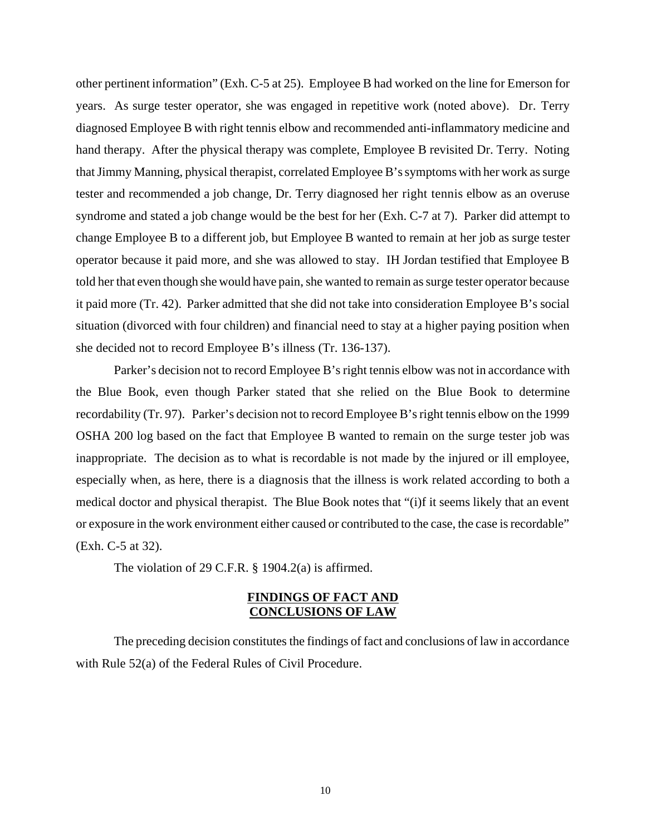other pertinent information" (Exh. C-5 at 25). Employee B had worked on the line for Emerson for years. As surge tester operator, she was engaged in repetitive work (noted above). Dr. Terry diagnosed Employee B with right tennis elbow and recommended anti-inflammatory medicine and hand therapy. After the physical therapy was complete, Employee B revisited Dr. Terry. Noting that Jimmy Manning, physical therapist, correlated Employee B's symptoms with her work as surge tester and recommended a job change, Dr. Terry diagnosed her right tennis elbow as an overuse syndrome and stated a job change would be the best for her (Exh. C-7 at 7). Parker did attempt to change Employee B to a different job, but Employee B wanted to remain at her job as surge tester operator because it paid more, and she was allowed to stay. IH Jordan testified that Employee B told her that even though she would have pain, she wanted to remain as surge tester operator because it paid more (Tr. 42). Parker admitted that she did not take into consideration Employee B's social situation (divorced with four children) and financial need to stay at a higher paying position when she decided not to record Employee B's illness (Tr. 136-137).

Parker's decision not to record Employee B's right tennis elbow was not in accordance with the Blue Book, even though Parker stated that she relied on the Blue Book to determine recordability (Tr. 97). Parker's decision not to record Employee B's right tennis elbow on the 1999 OSHA 200 log based on the fact that Employee B wanted to remain on the surge tester job was inappropriate. The decision as to what is recordable is not made by the injured or ill employee, especially when, as here, there is a diagnosis that the illness is work related according to both a medical doctor and physical therapist. The Blue Book notes that "(i)f it seems likely that an event or exposure in the work environment either caused or contributed to the case, the case is recordable" (Exh. C-5 at 32).

The violation of 29 C.F.R.  $\S$  1904.2(a) is affirmed.

# **FINDINGS OF FACT AND CONCLUSIONS OF LAW**

The preceding decision constitutes the findings of fact and conclusions of law in accordance with Rule 52(a) of the Federal Rules of Civil Procedure.